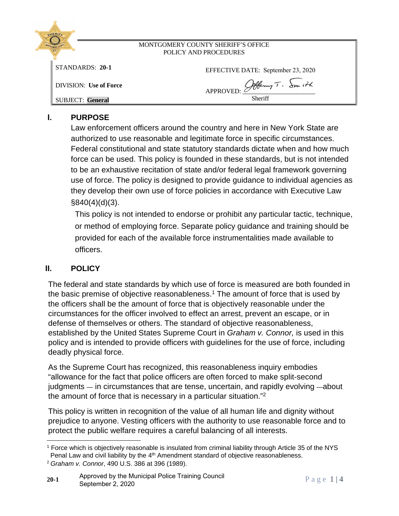| GHERIFE                       |                                    |
|-------------------------------|------------------------------------|
| <b>TONTGOMERY COUNTY</b>      | MONTGOMERY COUNTY SHERIFF'S OFFICE |
|                               | POLICY AND PROCEDURES              |
| $STANDARDS: 20-1$             | EFFECTIVE DATE: September 23, 2020 |
| <b>DIVISION:</b> Use of Force | APPROVED: Offeny T. Smith          |
| <b>SUBJECT: General</b>       | Sheriff                            |
|                               |                                    |

# **I. PURPOSE**

Law enforcement officers around the country and here in New York State are authorized to use reasonable and legitimate force in specific circumstances. Federal constitutional and state statutory standards dictate when and how much force can be used. This policy is founded in these standards, but is not intended to be an exhaustive recitation of state and/or federal legal framework governing use of force. The policy is designed to provide guidance to individual agencies as they develop their own use of force policies in accordance with Executive Law §840(4)(d)(3).

This policy is not intended to endorse or prohibit any particular tactic, technique, or method of employing force. Separate policy guidance and training should be provided for each of the available force instrumentalities made available to officers.

# **II. POLICY**

The federal and state standards by which use of force is measured are both founded in the basic premise of objective reasonableness.<sup>1</sup> The amount of force that is used by the officers shall be the amount of force that is objectively reasonable under the circumstances for the officer involved to effect an arrest, prevent an escape, or in defense of themselves or others. The standard of objective reasonableness, established by the United States Supreme Court in *Graham v. Connor,* is used in this policy and is intended to provide officers with guidelines for the use of force, including deadly physical force.

As the Supreme Court has recognized, this reasonableness inquiry embodies "allowance for the fact that police officers are often forced to make split-second judgments — in circumstances that are tense, uncertain, and rapidly evolving —about the amount of force that is necessary in a particular situation."<sup>2</sup>

This policy is written in recognition of the value of all human life and dignity without prejudice to anyone. Vesting officers with the authority to use reasonable force and to protect the public welfare requires a careful balancing of all interests.

Protect the public weilare requires a careful baracting or all interests.<br>
<sup>1</sup> Force which is objectively reasonable is insulated from criminal liability through Article 35 of the NYS<br>
Penal Law and civil liability by the <sup>1</sup> Force which is objectively reasonable is insulated from criminal liability through Article 35 of the NYS Penal Law and civil liability by the 4<sup>th</sup> Amendment standard of objective reasonableness.

<sup>2</sup> *Graham v. Connor*, 490 U.S. 386 at 396 (1989).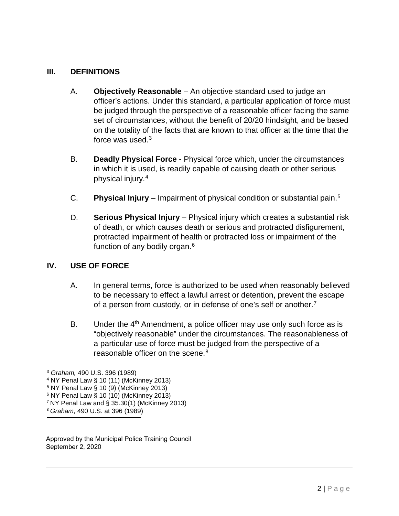## **III. DEFINITIONS**

- A. **Objectively Reasonable** An objective standard used to judge an officer's actions. Under this standard, a particular application of force must be judged through the perspective of a reasonable officer facing the same set of circumstances, without the benefit of 20/20 hindsight, and be based on the totality of the facts that are known to that officer at the time that the force was used.<sup>[3](#page-1-0)</sup>
- B. **Deadly Physical Force** Physical force which, under the circumstances in which it is used, is readily capable of causing death or other serious physical injury.[4](#page-1-1)
- C. **Physical Injury** Impairment of physical condition or substantial pain.[5](#page-1-2)
- D. **Serious Physical Injury** Physical injury which creates a substantial risk of death, or which causes death or serious and protracted disfigurement, protracted impairment of health or protracted loss or impairment of the function of any bodily organ.[6](#page-1-3)

## **IV. USE OF FORCE**

- A. In general terms, force is authorized to be used when reasonably believed to be necessary to effect a lawful arrest or detention, prevent the escape of a person from custody, or in defense of one's self or another[.7](#page-1-4)
- B. Under the  $4<sup>th</sup>$  Amendment, a police officer may use only such force as is "objectively reasonable" under the circumstances. The reasonableness of a particular use of force must be judged from the perspective of a reasonable officer on the scene  $8$

- <sup>4</sup> NY Penal Law § 10 (11) (McKinney 2013)
- $5$  NY Penal Law  $\frac{5}{9}$  10 (9) (McKinney 2013)
- <sup>6</sup> NY Penal Law § 10 (10) (McKinney 2013)
- <sup>7</sup> NY Penal Law and § 35.30(1) (McKinney 2013)
- <sup>8</sup> *Graham*, 490 U.S. at 396 (1989)

<span id="page-1-5"></span><span id="page-1-4"></span><span id="page-1-3"></span><span id="page-1-2"></span><span id="page-1-1"></span><span id="page-1-0"></span>Approved by the Municipal Police Training Council September 2, 2020

<sup>3</sup> *Graham,* 490 U.S. 396 (1989)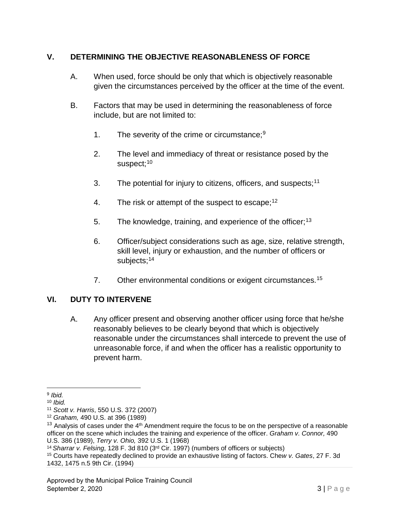# **V. DETERMINING THE OBJECTIVE REASONABLENESS OF FORCE**

- A. When used, force should be only that which is objectively reasonable given the circumstances perceived by the officer at the time of the event.
- B. Factors that may be used in determining the reasonableness of force include, but are not limited to:
	- 1. The severity of the crime or circumstance;<sup>[9](#page-2-0)</sup>
	- 2. The level and immediacy of threat or resistance posed by the suspect;<sup>[10](#page-2-1)</sup>
	- 3. The potential for injury to citizens, officers, and suspects;  $11$
	- 4. The risk or attempt of the suspect to escape;  $12$
	- 5. The knowledge, training, and experience of the officer;<sup>[13](#page-2-4)</sup>
	- 6. Officer/subject considerations such as age, size, relative strength, skill level, injury or exhaustion, and the number of officers or subjects;<sup>[14](#page-2-5)</sup>
	- 7. Other environmental conditions or exigent circumstances.<sup>[15](#page-2-6)</sup>

# **VI. DUTY TO INTERVENE**

A. Any officer present and observing another officer using force that he/she reasonably believes to be clearly beyond that which is objectively reasonable under the circumstances shall intercede to prevent the use of unreasonable force, if and when the officer has a realistic opportunity to prevent harm.

<span id="page-2-0"></span><sup>9</sup> *Ibid.* 

<span id="page-2-1"></span><sup>10</sup> *Ibid.*

<span id="page-2-2"></span><sup>11</sup> *Scott v. Harris*, 550 U.S. 372 (2007)

<span id="page-2-3"></span><sup>12</sup> *Graham,* 490 U.S. at 396 (1989)

<span id="page-2-4"></span> $13$  Analysis of cases under the 4<sup>th</sup> Amendment require the focus to be on the perspective of a reasonable officer on the scene which includes the training and experience of the officer. *Graham v. Connor,* 490 U.S. 386 (1989), *Terry v. Ohio,* 392 U.S. 1 (1968)

<span id="page-2-5"></span><sup>14</sup>*Sharrar v. Felsing*, 128 F. 3d 810 (3rd Cir. 1997) (numbers of officers or subjects)

<span id="page-2-6"></span><sup>15</sup> Courts have repeatedly declined to provide an exhaustive listing of factors. Che*w v. Gates*, 27 F. 3d 1432, 1475 n.5 9th Cir. (1994)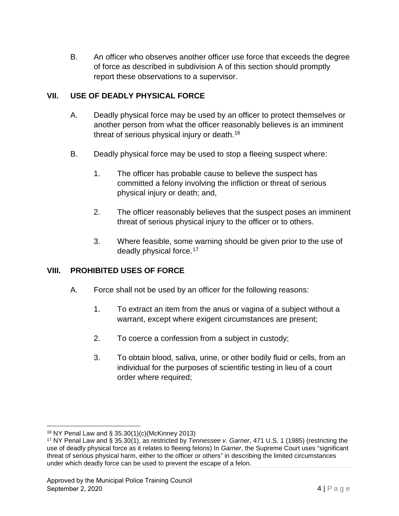B. An officer who observes another officer use force that exceeds the degree of force as described in subdivision A of this section should promptly report these observations to a supervisor.

# **VII. USE OF DEADLY PHYSICAL FORCE**

- A. Deadly physical force may be used by an officer to protect themselves or another person from what the officer reasonably believes is an imminent threat of serious physical injury or death.<sup>[16](#page-3-0)</sup>
- B. Deadly physical force may be used to stop a fleeing suspect where:
	- 1. The officer has probable cause to believe the suspect has committed a felony involving the infliction or threat of serious physical injury or death; and,
	- 2. The officer reasonably believes that the suspect poses an imminent threat of serious physical injury to the officer or to others.
	- 3. Where feasible, some warning should be given prior to the use of deadly physical force.<sup>[17](#page-3-1)</sup>

## **VIII. PROHIBITED USES OF FORCE**

- A. Force shall not be used by an officer for the following reasons:
	- 1. To extract an item from the anus or vagina of a subject without a warrant, except where exigent circumstances are present;
	- 2. To coerce a confession from a subject in custody;
	- 3. To obtain blood, saliva, urine, or other bodily fluid or cells, from an individual for the purposes of scientific testing in lieu of a court order where required;

<span id="page-3-0"></span><sup>16</sup> NY Penal Law and § 35.30(1)(c)(McKinney 2013)

<span id="page-3-1"></span><sup>17</sup> NY Penal Law and § 35.30(1), as restricted by *Tennessee v. Garner*, 471 U.S. 1 (1985) (restricting the use of deadly physical force as it relates to fleeing felons) In *Garner*, the Supreme Court uses "significant threat of serious physical harm, either to the officer or others" in describing the limited circumstances under which deadly force can be used to prevent the escape of a felon.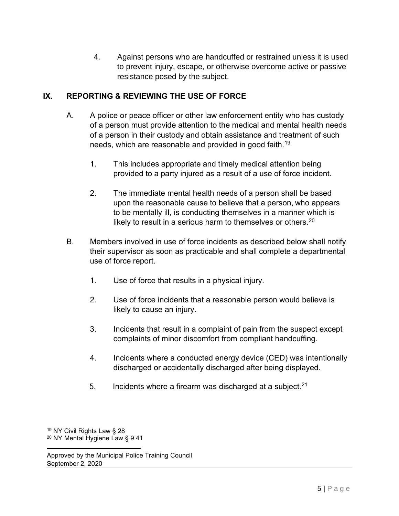4. Against persons who are handcuffed or restrained unless it is used to prevent injury, escape, or otherwise overcome active or passive resistance posed by the subject.

# **IX. REPORTING & REVIEWING THE USE OF FORCE**

- A. A police or peace officer or other law enforcement entity who has custody of a person must provide attention to the medical and mental health needs of a person in their custody and obtain assistance and treatment of such needs, which are reasonable and provided in good faith.<sup>19</sup>
	- 1. This includes appropriate and timely medical attention being provided to a party injured as a result of a use of force incident.
	- 2. The immediate mental health needs of a person shall be based upon the reasonable cause to believe that a person, who appears to be mentally ill, is conducting themselves in a manner which is likely to result in a serious harm to themselves or others.<sup>20</sup>
- B. Members involved in use of force incidents as described below shall notify their supervisor as soon as practicable and shall complete a departmental use of force report.
	- 1. Use of force that results in a physical injury.
	- 2. Use of force incidents that a reasonable person would believe is likely to cause an injury.
	- 3. Incidents that result in a complaint of pain from the suspect except complaints of minor discomfort from compliant handcuffing.
	- 4. Incidents where a conducted energy device (CED) was intentionally discharged or accidentally discharged after being displayed.
	- 5. Incidents where a firearm was discharged at a subject.  $21$

<sup>19</sup> NY Civil Rights Law § 28 <sup>20</sup> NY Mental Hygiene Law § 9.41

Approved by the Municipal Police Training Council September 2, 2020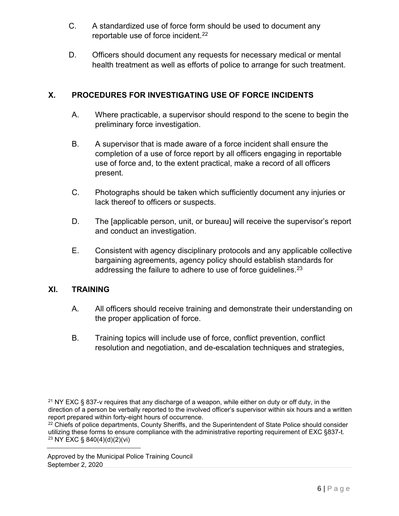- C. A standardized use of force form should be used to document any reportable use of force incident.<sup>22</sup>
- D. Officers should document any requests for necessary medical or mental health treatment as well as efforts of police to arrange for such treatment.

# **X. PROCEDURES FOR INVESTIGATING USE OF FORCE INCIDENTS**

- A. Where practicable, a supervisor should respond to the scene to begin the preliminary force investigation.
- B. A supervisor that is made aware of a force incident shall ensure the completion of a use of force report by all officers engaging in reportable use of force and, to the extent practical, make a record of all officers present.
- C. Photographs should be taken which sufficiently document any injuries or lack thereof to officers or suspects.
- D. The [applicable person, unit, or bureau] will receive the supervisor's report and conduct an investigation.
- E. Consistent with agency disciplinary protocols and any applicable collective bargaining agreements, agency policy should establish standards for addressing the failure to adhere to use of force guidelines.<sup>23</sup>

# **XI. TRAINING**

- A. All officers should receive training and demonstrate their understanding on the proper application of force.
- B. Training topics will include use of force, conflict prevention, conflict resolution and negotiation, and de-escalation techniques and strategies,

<sup>22</sup> Chiefs of police departments, County Sheriffs, and the Superintendent of State Police should consider utilizing these forms to ensure compliance with the administrative reporting requirement of EXC §837-t. <sup>23</sup> NY EXC § 840(4)(d)(2)(vi)

Approved by the Municipal Police Training Council September 2, 2020

<sup>&</sup>lt;sup>21</sup> NY EXC § 837-v requires that any discharge of a weapon, while either on duty or off duty, in the direction of a person be verbally reported to the involved officer's supervisor within six hours and a written report prepared within forty-eight hours of occurrence.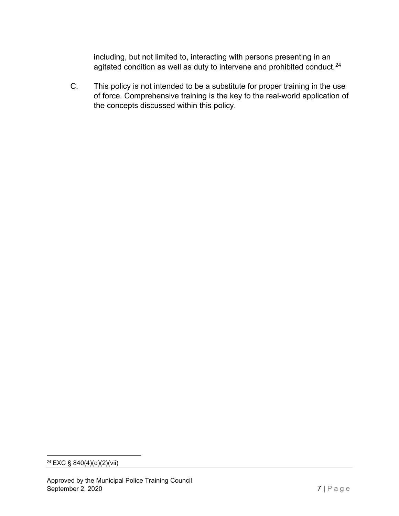including, but not limited to, interacting with persons presenting in an agitated condition as well as duty to intervene and prohibited conduct.<sup>[24](#page-6-0)</sup>

C. This policy is not intended to be a substitute for proper training in the use of force. Comprehensive training is the key to the real-world application of the concepts discussed within this policy.

<span id="page-6-0"></span><sup>&</sup>lt;sup>24</sup> EXC § 840(4)(d)(2)(vii)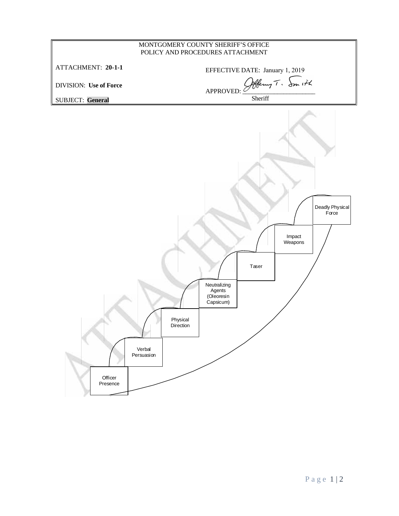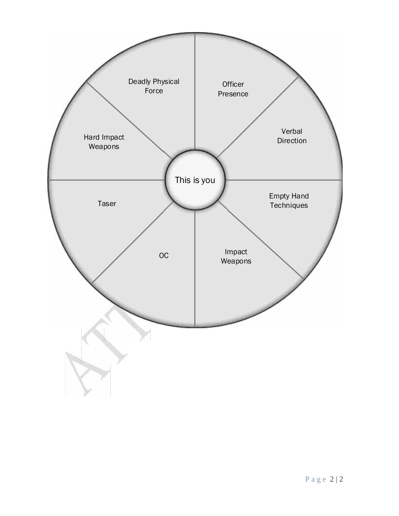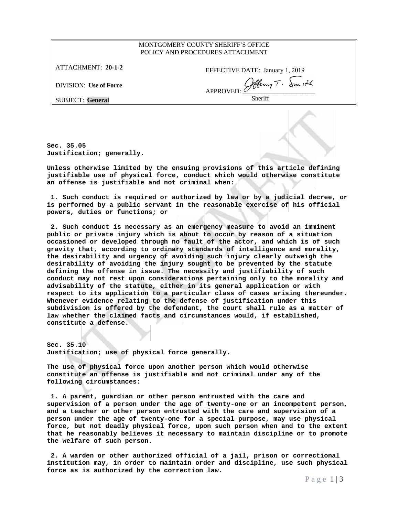### MONTGOMERY COUNTY SHERIFF'S OFFICE POLICY AND PROCEDURES ATTACHMENT

ATTACHMENT: **20-1-2**

EFFECTIVE DATE: January 1, 2019

DIVISION: **Use of Force**

APPROVED: Sollering T. Smith Sheriff

SUBJECT: **General**

**Sec. 35.05 Justification; generally.**

**Unless otherwise limited by the ensuing provisions of this article defining justifiable use of physical force, conduct which would otherwise constitute an offense is justifiable and not criminal when:** Unless otherwise limited by the ensuing provisions of this article defining<br>justifiable use of physical force, conduct which would otherwise constitute<br>an offense is justifiable and not criminal when:<br>1. Such conduct is re

**powers, duties or functions; or 2.** Such conduct is required or authorized by law or by a judicial decree, or<br>s performed by a public servant in the reasonable exercise of his official<br>owers, duties or functions; or<br>2. Such conduct is necessary as an em

**public or private injury which is about to occur by reason of a situation occasioned or developed through no fault of the actor, and which is of such gravity that, according to ordinary standards of intelligence and morality, the desirability and urgency of avoiding such injury clearly outweigh the desirability of avoiding the injury sought to be prevented by the statute defining the offense in issue. The necessity and justifiability of such conduct may not rest upon considerations pertaining only to the morality and advisability of the statute, either in its general application or with respect to its application to a particular class of cases arising thereunder. Whenever evidence relating to the defense of justification under this subdivision is offered by the defendant, the court shall rule as a matter of law whether the claimed facts and circumstances would, if established, constitute a defense.**

**Sec. 35.10 Justification; use of physical force generally.**

**The use of physical force upon another person which would otherwise constitute an offense is justifiable and not criminal under any of the following circumstances:** The use of physical force upon another person which would otherwise<br>constitute an offense is justifiable and not criminal under any of the<br>following circumstances:<br>1. A parent, guardian or other person entrusted with the c

**and a teacher or other person entrusted with the care and supervision of a person under the age of twenty-one for a special purpose, may use physical force, but not deadly physical force, upon such person when and to the extent that he reasonably believes it necessary to maintain discipline or to promote the welfare of such person.** erson under the age of twenty-one for a special purpose, may use physical<br>orce, but not deadly physical force, upon such person when and to the extent<br>hat he reasonably believes it necessary to maintain discipline or to pr

to promote<br>rectional<br>ch physical<br>Page 1 | 3 **institution may, in order to maintain order and discipline, use such physical force as is authorized by the correction law.**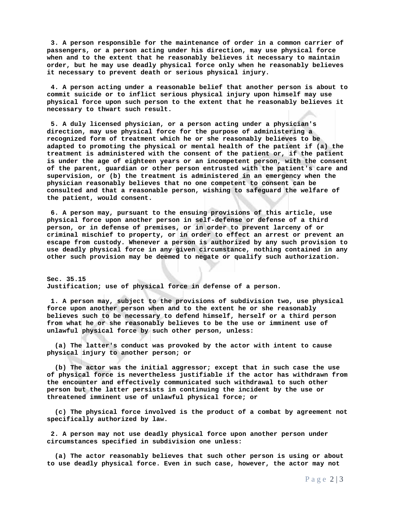**3. A person responsible for the maintenance of order in a common carrier of passengers, or a person acting under his direction, may use physical force when and to the extent that he reasonably believes it necessary to maintain order, but he may use deadly physical force only when he reasonably believes it necessary to prevent death or serious physical injury.** assengers, or a person acting under his direction, may use physical force<br>hen and to the extent that he reasonably believes it necessary to maintain<br>rder, but he may use deadly physical force only when he reasonably believ

**commit suicide or to inflict serious physical injury upon himself may use physical force upon such person to the extent that he reasonably believes it necessary to thwart such result. 4. A person acting under a reasonable belief that another person is about to ommit suicide or to inflict serious physical injury upon himself may use hysical force upon such person to the extent that he reasonably believe** 

**direction, may use physical force for the purpose of administering a recognized form of treatment which he or she reasonably believes to be adapted to promoting the physical or mental health of the patient if (a) the treatment is administered with the consent of the patient or, if the patient is under the age of eighteen years or an incompetent person, with the consent of the parent, guardian or other person entrusted with the patient's care and supervision, or (b) the treatment is administered in an emergency when the physician reasonably believes that no one competent to consent can be consulted and that a reasonable person, wishing to safeguard the welfare of the patient, would consent.** wpervision, or (b) the treatment is administered in an emergency when the<br>hysician reasonably believes that no one competent to consent can be<br>onsulted and that a reasonable person, wishing to safeguard the welfare of<br>he p

**physical force upon another person in self-defense or defense of a third person, or in defense of premises, or in order to prevent larceny of or criminal mischief to property, or in order to effect an arrest or prevent an escape from custody. Whenever a person is authorized by any such provision to use deadly physical force in any given circumstance, nothing contained in any other such provision may be deemed to negate or qualify such authorization.**

**Sec. 35.15 Justification; use of physical force in defense of a person.**

**1. A person may, subject to the provisions of subdivision two, use physical force upon another person when and to the extent he or she reasonably believes such to be necessary to defend himself, herself or a third person from what he or she reasonably believes to be the use or imminent use of unlawful physical force by such other person, unless:** rce upon another person when and to the extent he or she reasonably<br>lieves such to be necessary to defend himself, herself or a third person<br>om what he or she reasonably believes to be the use or imminent use of<br>lawful phy

**physical injury to another person; or**

whilm physical force by such other person, unless:<br>
(a) The latter's conduct was provoked by the actor with intent to cause<br>
physical injury to another person; or<br>
(b) The actor was the initial aggressor; except that in su **the encounter and effectively communicated such withdrawal to such other person but the latter persists in continuing the incident by the use or threatened imminent use of unlawful physical force; or** physical force is nevertheless justifiable if the actor has withdrawn from<br>e encounter and effectively communicated such withdrawal to such other<br>rson but the latter persists in continuing the incident by the use or<br>reaten

**specifically authorized by law.** hreatened imminent use of unlawful physical force; or<br>
(c) The physical force involved is the product of a combat by agreement not<br>
pecifically authorized by law.<br>
2. A person may not use deadly physical force upon another

**circumstances specified in subdivision one unless:** 2. A person may not use deadly physical force upon another person under<br>ircumstances specified in subdivision one unless:<br>(a) The actor reasonably believes that such other person is using or about

under<br>g or about<br>r may not<br>P a g e 2 | 3 **to use deadly physical force. Even in such case, however, the actor may not**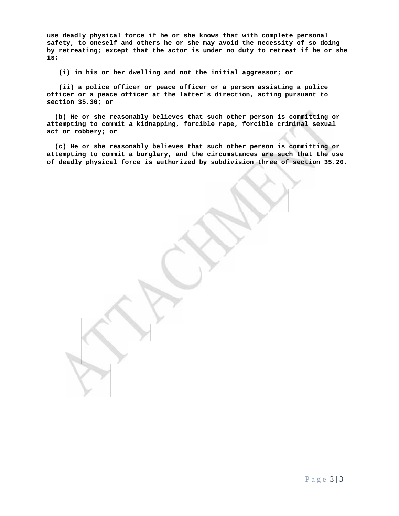**use deadly physical force if he or she knows that with complete personal safety, to oneself and others he or she may avoid the necessity of so doing by retreating; except that the actor is under no duty to retreat if he or she is:** deadly physical force if he or she knows that with complete personal<br>ety, to oneself and others he or she may avoid the necessity of so<br>retreating; except that the actor is under no duty to retreat if he<br>(i) in his or her

by retreating; except that the actor is under no duty to retreat if he or she<br> **(i)** in his or her dwelling and not the initial aggressor; or<br>
(ii) a police officer or peace officer or a person assisting a police<br>
officer **section 35.30; or** (ii) a police officer or peace officer or a person assisting a police<br>
officer or a peace officer at the latter's direction, acting pursuant to<br>
section 35.30; or<br>
(b) He or she reasonably believes that such other person i

**act or robbery; or** (b) He or she reasonably believes that such other person is committing or<br>tempting to commit a kidnapping, forcible rape, forcible criminal sexual<br>it or robbery; or<br>(c) He or she reasonably believes that such other person

**attempting to commit a burglary, and the circumstances are such that the use of deadly physical force is authorized by subdivision three of section 35.20.**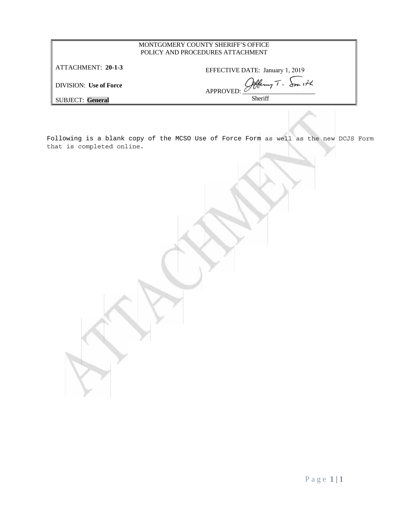| MONTGOMERY COUNTY SHERIFF'S OFFICE<br>POLICY AND PROCEDURES ATTACHMENT |                                 |  |  |  |
|------------------------------------------------------------------------|---------------------------------|--|--|--|
| ATTACHMENT: 20-1-3                                                     | EFFECTIVE DATE: January 1, 2019 |  |  |  |
| <b>DIVISION:</b> Use of Force                                          | Obbeny T. Smith<br>APPROVED:    |  |  |  |
| <b>SUBJECT: General</b>                                                | <b>Sheriff</b>                  |  |  |  |

Following is a blank copy of the MCSO Use of Force Form as well as the new DCJS Form that is completed online.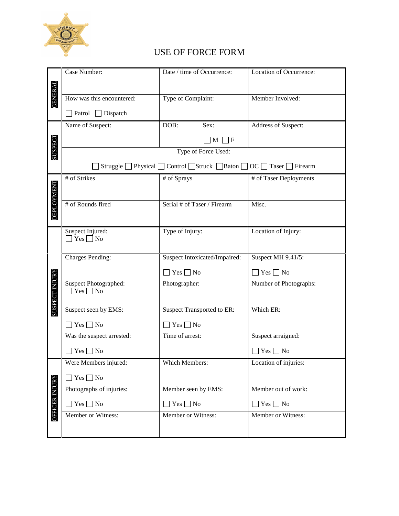

# USE OF FORCE FORM

|                       | Case Number:                                                          | Date / time of Occurrence:    | Location of Occurrence: |  |  |  |  |  |  |
|-----------------------|-----------------------------------------------------------------------|-------------------------------|-------------------------|--|--|--|--|--|--|
|                       |                                                                       |                               |                         |  |  |  |  |  |  |
| <b>GENERAL</b>        | How was this encountered:                                             | Type of Complaint:            | Member Involved:        |  |  |  |  |  |  |
|                       | $\Box$ Patrol $\Box$ Dispatch                                         |                               |                         |  |  |  |  |  |  |
|                       | Name of Suspect:                                                      | DOB:<br>Sex:                  | Address of Suspect:     |  |  |  |  |  |  |
|                       |                                                                       | $\Box$ M<br>$\vert$ F         |                         |  |  |  |  |  |  |
| SUSPECT               | Type of Force Used:                                                   |                               |                         |  |  |  |  |  |  |
|                       | Struggle   Physical   Control   Struck   Baton   OC   Taser   Firearm |                               |                         |  |  |  |  |  |  |
|                       | # of Strikes                                                          | # of Sprays                   | # of Taser Deployments  |  |  |  |  |  |  |
|                       |                                                                       |                               |                         |  |  |  |  |  |  |
| <b>DEPLOYMENT</b>     | # of Rounds fired                                                     | Serial # of Taser / Firearm   | Misc.                   |  |  |  |  |  |  |
|                       |                                                                       |                               |                         |  |  |  |  |  |  |
|                       | Suspect Injured:<br>$\Box$ Yes $\Box$ No                              | Type of Injury:               | Location of Injury:     |  |  |  |  |  |  |
|                       |                                                                       |                               |                         |  |  |  |  |  |  |
|                       | <b>Charges Pending:</b>                                               | Suspect Intoxicated/Impaired: | Suspect MH 9.41/5:      |  |  |  |  |  |  |
|                       |                                                                       | $\Box$ Yes $\Box$ No          | $\Box$ Yes $\Box$ No    |  |  |  |  |  |  |
| <b>SUSPECT INJURY</b> | Suspect Photographed:<br>$Yes \Box No$                                | Photographer:                 | Number of Photographs:  |  |  |  |  |  |  |
|                       |                                                                       |                               |                         |  |  |  |  |  |  |
|                       | Suspect seen by EMS:                                                  | Suspect Transported to ER:    | Which ER:               |  |  |  |  |  |  |
|                       | $\Box$ Yes $\Box$ No                                                  | $\Box$ Yes $\Box$ No          |                         |  |  |  |  |  |  |
|                       | Was the suspect arrested:                                             | Time of arrest:               | Suspect arraigned:      |  |  |  |  |  |  |
|                       | $Yes \tN$                                                             |                               | $Yes \bigsqcup No$      |  |  |  |  |  |  |
|                       | Were Members injured:                                                 | Which Members:                | Location of injuries:   |  |  |  |  |  |  |
|                       | Yes $\Box$ No                                                         |                               |                         |  |  |  |  |  |  |
|                       | Photographs of injuries:                                              | Member seen by EMS:           | Member out of work:     |  |  |  |  |  |  |
| <b>OFFICER INJURY</b> | $Yes \Box No$                                                         | $Yes \Box No$                 | $\Box$ Yes $\Box$ No    |  |  |  |  |  |  |
|                       | Member or Witness:                                                    | Member or Witness:            | Member or Witness:      |  |  |  |  |  |  |
|                       |                                                                       |                               |                         |  |  |  |  |  |  |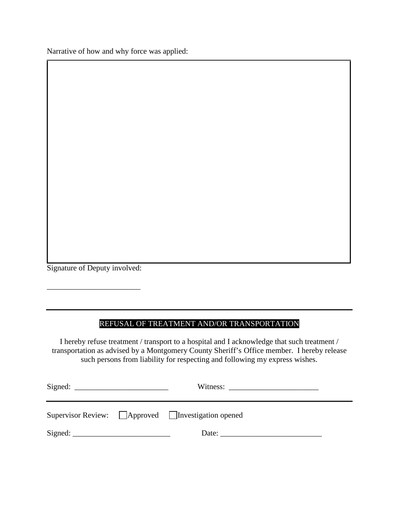Narrative of how and why force was applied:

Signature of Deputy involved:

\_\_\_\_\_\_\_\_\_\_\_\_\_\_\_\_\_\_\_\_\_\_\_\_

# REFUSAL OF TREATMENT AND/OR TRANSPORTATION

I hereby refuse treatment / transport to a hospital and I acknowledge that such treatment /  $\,$ transportation as advised by a Montgomery County Sheriff's Office member. I hereby release such persons from liability for respecting and following my express wishes. I hereby refuse treatment / transport to a hospital and I acknowledge that such treatment / transportation as advised by a Montgomery County Sheriff's Office member. I hereby release such persons from liability for respect

|  | Supervisor Review: $\Box$ Approved $\Box$ Investigation opened |  |  |  |  |
|--|----------------------------------------------------------------|--|--|--|--|
|  |                                                                |  |  |  |  |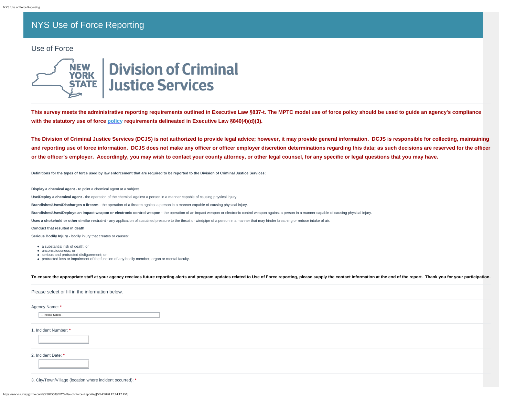# NYS Use of Force Reporting

### Use of Force



# **Division of Criminal Justice Services**

**This survey meets the administrative reporting requirements outlined in Executive Law §837-t. The MPTC model use of force policy should be used to guide an agency's compliance with the statutory use of force [policy](https://drive.google.com/open?id=15W7H3v22yf9lUi5t-W699fzoGnBmrYJa) requirements delineated in Executive Law §840(4)(d)(3).**

**The Division of Criminal Justice Services (DCJS) is not authorized to provide legal advice; however, it may provide general information. DCJS is responsible for collecting, maintaining and reporting use of force information. DCJS does not make any officer or officer employer discretion determinations regarding this data; as such decisions are reserved for the officer or the officer's employer. Accordingly, you may wish to contact your county attorney, or other legal counsel, for any specific or legal questions that you may have.**

**Definitions for the types of force used by law enforcement that are required to be reported to the Division of Criminal Justice Services:**

**Display a chemical agent** - to point a chemical agent at a subject.

**Use/Deploy a chemical agent** - the operation of the chemical against a person in a manner capable of causing physical injury.

**Brandishes/Uses/Discharges a firearm** - the operation of a firearm against a person in a manner capable of causing physical injury.

**Brandishes/Uses/Deploys an impact weapon or electronic control weapon** - the operation of an impact weapon or electronic control weapon against a person in a manner capable of causing physical injury.

**Uses a chokehold or other similar restraint** - any application of sustained pressure to the throat or windpipe of a person in a manner that may hinder breathing or reduce intake of air.

**Conduct that resulted in death**

**Serious Bodily Injury** - bodily injury that creates or causes:

- a substantial risk of death; or
- unconsciousness; or
- serious and protracted disfigurement; or
- protracted loss or impairment of the function of any bodily member, organ or mental faculty.

To ensure the appropriate staff at your agency receives future reporting alerts and program updates related to Use of Force reporting, please supply the contact information at the end of the report. Thank you for your part

| Please select or fill in the information below. |  |  |  |  |  |  |
|-------------------------------------------------|--|--|--|--|--|--|
| Agency Name: *                                  |  |  |  |  |  |  |
| -- Please Select --                             |  |  |  |  |  |  |
| 1. Incident Number: *                           |  |  |  |  |  |  |
| 2. Incident Date: *                             |  |  |  |  |  |  |
|                                                 |  |  |  |  |  |  |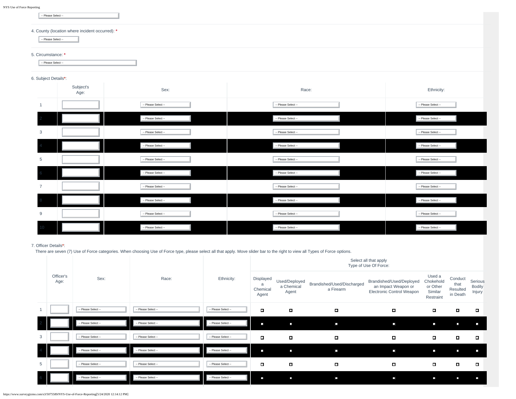-- Please Select --

### 4. County (location where incident occurred): **\***

-- Please Select -- -- Please Select --

#### 5. Circumstance: **\***

-- Please Select --

#### 6. Subject Details**\***:

|                | Subject's<br>Age: | Sex:                | Race:               | Ethnicity:            |
|----------------|-------------------|---------------------|---------------------|-----------------------|
| $\overline{1}$ |                   | -- Please Select -- | -- Please Select -- | -- Please Select --   |
|                |                   | -- Please Select -- | -- Please Select -- | -- Please Select --   |
| 3              |                   | -- Please Select -- | -- Please Select -- | -- Please Select --   |
|                |                   | -- Please Select -- | -- Please Select -- | -- Please Select --   |
| 5              |                   | -- Please Select -- | -- Please Select -- | -- Please Select --   |
|                |                   | -- Please Select -- | -- Please Select -- | $-$ Please Select $-$ |
| $\overline{7}$ |                   | -- Please Select -- | -- Please Select -- | -- Please Select --   |
|                |                   | -- Please Select -- | -- Please Select -- | -- Please Select --   |
| 9              |                   | -- Please Select -- | -- Please Select -- | -- Please Select --   |
|                |                   | -- Please Select -- | -- Please Select -- | -- Please Select --   |

### 7. Officer Details**\***:

There are seven (7) Use of Force categories. When choosing Use of Force type, please select all that apply. Move slider bar to the right to view all Types of Force options.

|   |                   | Sex:                | Race:<br>Ethnicity: |                     | Select all that apply<br>Type of Use Of Force: |                                      |                                         |                                                                              |                                                         |                                         |                                    |  |
|---|-------------------|---------------------|---------------------|---------------------|------------------------------------------------|--------------------------------------|-----------------------------------------|------------------------------------------------------------------------------|---------------------------------------------------------|-----------------------------------------|------------------------------------|--|
|   | Officer's<br>Age: |                     |                     |                     | Displayed<br>a<br>Chemical<br>Agent            | Used/Deployed<br>a Chemical<br>Agent | Brandished/Used/Discharged<br>a Firearm | Brandished/Used/Deployed<br>an Impact Weapon or<br>Electronic Control Weapon | Used a<br>Chokehold<br>or Other<br>Similar<br>Restraint | Conduct<br>that<br>Resulted<br>in Death | Serious<br><b>Bodily</b><br>Injury |  |
|   |                   | -- Please Select -- | -- Please Select -- | -- Please Select -  | $\Box$                                         | $\Box$                               | $-1$                                    | $\blacksquare$                                                               | $\sim$                                                  | $\Box$                                  | $\sim$                             |  |
|   |                   | -- Please Select -- | -- Please Select -- | -- Please Select -- | $\mathcal{A}$                                  | $\Box$                               | o.                                      | $\overline{\phantom{a}}$                                                     | $\mathcal{A}$                                           | $\Box$                                  | $\Box$                             |  |
| 3 |                   | -- Please Select -- | -- Please Select -- | -- Please Select -- | $\Box$                                         | п                                    | $\blacksquare$                          | $\blacksquare$                                                               | $\Box$                                                  | п                                       | $\sim$                             |  |
|   |                   | -- Please Select -- | -- Please Select -- | -- Please Select -- | N                                              | $\overline{\phantom{a}}$             | N                                       | E                                                                            | $\mathcal{A}$                                           | $\mathcal{A}$                           | N                                  |  |
| 5 |                   | -- Please Select -- | -- Please Select -- | -- Please Select -- | $\overline{\phantom{a}}$                       | п                                    | $\overline{\phantom{a}}$                | П                                                                            | $\sim$                                                  | $\mathcal{A}$                           | $\sim$                             |  |
|   |                   | -- Please Select -- | -- Please Select -- | -- Please Select -- | N                                              | $\Box$                               | E                                       | N                                                                            | $\mathcal{A}$                                           | $\mathcal{A}$                           | E.                                 |  |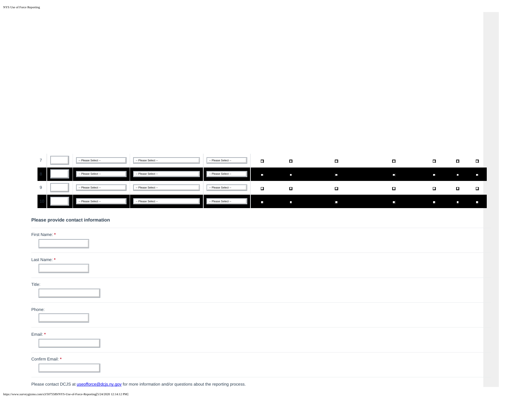| $\overline{\phantom{a}}$ | -- Please Select -- | -- Please Select --      | -- Please Select -- | $\sim$ | П | П | П | $\mathcal{A}$            | $\overline{\phantom{a}}$ | $\overline{\phantom{a}}$ |
|--------------------------|---------------------|--------------------------|---------------------|--------|---|---|---|--------------------------|--------------------------|--------------------------|
|                          | -- Please Select -- | -- Please Select --      | -- Please Select -- | ъ      | N | H | H | $\overline{\mathcal{A}}$ | $\overline{a}$           | P.                       |
| 9                        | -- Please Select -- | -- Please Select --      | -- Please Select -- | $\sim$ | П | П | п | и                        | □                        | и                        |
|                          | -- Please Select -- | -- Please Select --<br>w | -- Please Select -- |        | H | E | о | $\Box$                   | $\overline{a}$           | L.                       |

### **Please provide contact information**

| First Name: *                                                                                                    |
|------------------------------------------------------------------------------------------------------------------|
| Last Name: *                                                                                                     |
|                                                                                                                  |
| Title:                                                                                                           |
|                                                                                                                  |
| Phone:                                                                                                           |
|                                                                                                                  |
| Email: *                                                                                                         |
|                                                                                                                  |
| Confirm Email: *                                                                                                 |
|                                                                                                                  |
| Please contact DCJS at useofforce@dcjs.ny.gov for more information and/or questions about the reporting process. |